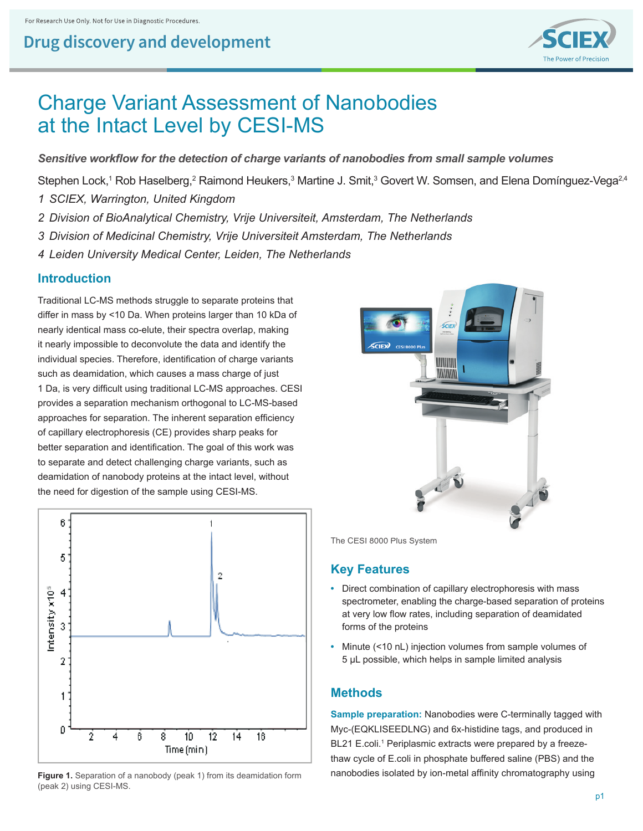

# Charge Variant Assessment of Nanobodies at the Intact Level by CESI-MS

Sensitive workflow for the detection of charge variants of nanobodies from small sample volumes

Stephen Lock,<sup>1</sup> Rob Haselberg,<sup>2</sup> Raimond Heukers,<sup>3</sup> Martine J. Smit,<sup>3</sup> Govert W. Somsen, and Elena Domínguez-Vega<sup>2,4</sup>

- *1 SCIEX, Warrington, United Kingdom*
- *2 Division of BioAnalytical Chemistry, Vrije Universiteit, Amsterdam, The Netherlands*
- *3 Division of Medicinal Chemistry, Vrije Universiteit Amsterdam, The Netherlands*
- *4 Leiden University Medical Center, Leiden, The Netherlands*

#### **Introduction**

Traditional LC-MS methods struggle to separate proteins that differ in mass by <10 Da. When proteins larger than 10 kDa of nearly identical mass co-elute, their spectra overlap, making it nearly impossible to deconvolute the data and identify the individual species. Therefore, identification of charge variants such as deamidation, which causes a mass charge of just 1 Da, is very difficult using traditional LC-MS approaches. CESI provides a separation mechanism orthogonal to LC-MS-based approaches for separation. The inherent separation efficiency of capillary electrophoresis (CE) provides sharp peaks for better separation and identification. The goal of this work was to separate and detect challenging charge variants, such as deamidation of nanobody proteins at the intact level, without the need for digestion of the sample using CESI-MS.



**Figure 1.** Separation of a nanobody (peak 1) from its deamidation form (peak 2) using CESI-MS.



The CESI 8000 Plus System

#### **Key Features**

- **•** Direct combination of capillary electrophoresis with mass spectrometer, enabling the charge-based separation of proteins at very low flow rates, including separation of deamidated forms of the proteins
- **•** Minute (<10 nL) injection volumes from sample volumes of 5 μL possible, which helps in sample limited analysis

#### **Methods**

**Sample preparation:** Nanobodies were C-terminally tagged with Myc-(EQKLISEEDLNG) and 6x-histidine tags, and produced in BL21 E.coli.<sup>1</sup> Periplasmic extracts were prepared by a freezethaw cycle of E.coli in phosphate buffered saline (PBS) and the nanobodies isolated by ion-metal affinity chromatography using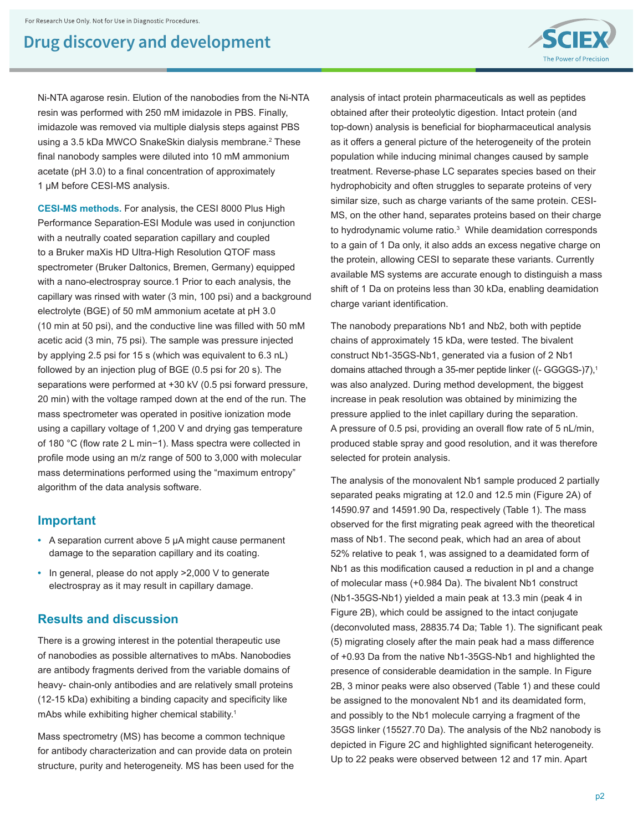

Ni-NTA agarose resin. Elution of the nanobodies from the Ni-NTA resin was performed with 250 mM imidazole in PBS. Finally, imidazole was removed via multiple dialysis steps against PBS using a 3.5 kDa MWCO SnakeSkin dialysis membrane.<sup>2</sup> These final nanobody samples were diluted into 10 mM ammonium acetate (pH 3.0) to a final concentration of approximately 1 μM before CESI-MS analysis.

**CESI-MS methods.** For analysis, the CESI 8000 Plus High Performance Separation-ESI Module was used in conjunction with a neutrally coated separation capillary and coupled to a Bruker maXis HD Ultra-High Resolution QTOF mass spectrometer (Bruker Daltonics, Bremen, Germany) equipped with a nano-electrospray source.1 Prior to each analysis, the capillary was rinsed with water (3 min, 100 psi) and a background electrolyte (BGE) of 50 mM ammonium acetate at pH 3.0 (10 min at 50 psi), and the conductive line was filled with 50 mM acetic acid (3 min, 75 psi). The sample was pressure injected by applying 2.5 psi for 15 s (which was equivalent to 6.3 nL) followed by an injection plug of BGE (0.5 psi for 20 s). The separations were performed at +30 kV (0.5 psi forward pressure, 20 min) with the voltage ramped down at the end of the run. The mass spectrometer was operated in positive ionization mode using a capillary voltage of 1,200 V and drying gas temperature of 180 °C (flow rate 2 L min−1). Mass spectra were collected in profile mode using an m/z range of 500 to 3,000 with molecular mass determinations performed using the "maximum entropy" algorithm of the data analysis software.

#### **Important**

- **•** A separation current above 5 μA might cause permanent damage to the separation capillary and its coating.
- **•** In general, please do not apply >2,000 V to generate electrospray as it may result in capillary damage.

#### **Results and discussion**

There is a growing interest in the potential therapeutic use of nanobodies as possible alternatives to mAbs. Nanobodies are antibody fragments derived from the variable domains of heavy- chain-only antibodies and are relatively small proteins (12-15 kDa) exhibiting a binding capacity and specificity like mAbs while exhibiting higher chemical stability.<sup>1</sup>

Mass spectrometry (MS) has become a common technique for antibody characterization and can provide data on protein structure, purity and heterogeneity. MS has been used for the analysis of intact protein pharmaceuticals as well as peptides obtained after their proteolytic digestion. Intact protein (and top-down) analysis is beneficial for biopharmaceutical analysis as it offers a general picture of the heterogeneity of the protein population while inducing minimal changes caused by sample treatment. Reverse-phase LC separates species based on their hydrophobicity and often struggles to separate proteins of very similar size, such as charge variants of the same protein. CESI-MS, on the other hand, separates proteins based on their charge to hydrodynamic volume ratio.<sup>3</sup> While deamidation corresponds to a gain of 1 Da only, it also adds an excess negative charge on the protein, allowing CESI to separate these variants. Currently available MS systems are accurate enough to distinguish a mass shift of 1 Da on proteins less than 30 kDa, enabling deamidation charge variant identification.

The nanobody preparations Nb1 and Nb2, both with peptide chains of approximately 15 kDa, were tested. The bivalent construct Nb1-35GS-Nb1, generated via a fusion of 2 Nb1 domains attached through a 35-mer peptide linker ((- GGGGS-)7),<sup>1</sup> was also analyzed. During method development, the biggest increase in peak resolution was obtained by minimizing the pressure applied to the inlet capillary during the separation. A pressure of 0.5 psi, providing an overall flow rate of 5 nL/min, produced stable spray and good resolution, and it was therefore selected for protein analysis.

The analysis of the monovalent Nb1 sample produced 2 partially separated peaks migrating at 12.0 and 12.5 min (Figure 2A) of 14590.97 and 14591.90 Da, respectively (Table 1). The mass observed for the first migrating peak agreed with the theoretical mass of Nb1. The second peak, which had an area of about 52% relative to peak 1, was assigned to a deamidated form of Nb1 as this modification caused a reduction in pI and a change of molecular mass (+0.984 Da). The bivalent Nb1 construct (Nb1-35GS-Nb1) yielded a main peak at 13.3 min (peak 4 in Figure 2B), which could be assigned to the intact conjugate (deconvoluted mass, 28835.74 Da; Table 1). The significant peak (5) migrating closely after the main peak had a mass difference of +0.93 Da from the native Nb1-35GS-Nb1 and highlighted the presence of considerable deamidation in the sample. In Figure 2B, 3 minor peaks were also observed (Table 1) and these could be assigned to the monovalent Nb1 and its deamidated form, and possibly to the Nb1 molecule carrying a fragment of the 35GS linker (15527.70 Da). The analysis of the Nb2 nanobody is depicted in Figure 2C and highlighted significant heterogeneity. Up to 22 peaks were observed between 12 and 17 min. Apart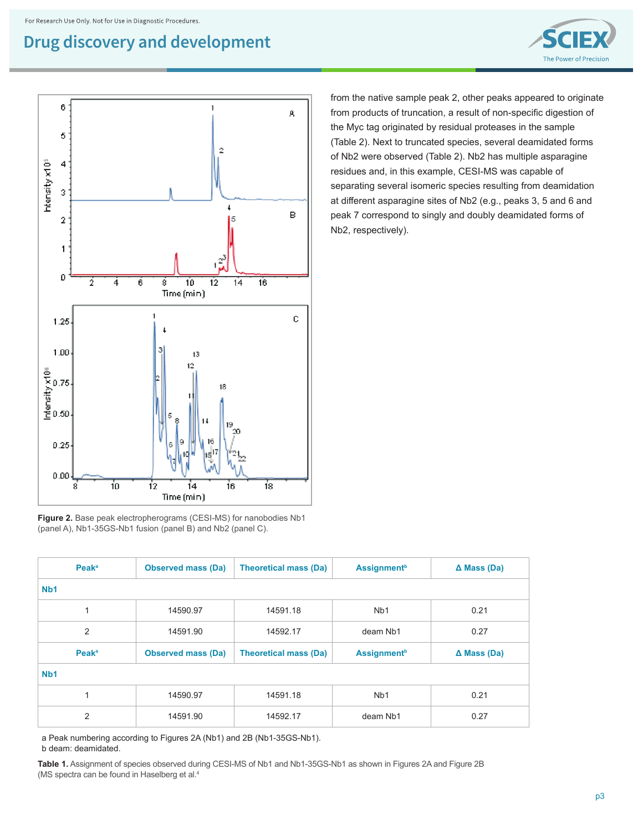



from the native sample peak 2, other peaks appeared to originate from products of truncation, a result of non-specific digestion of the Myc tag originated by residual proteases in the sample (Table 2). Next to truncated species, several deamidated forms of Nb2 were observed (Table 2). Nb2 has multiple asparagine residues and, in this example, CESI-MS was capable of separating several isomeric species resulting from deamidation at different asparagine sites of Nb2 (e.g., peaks 3, 5 and 6 and peak 7 correspond to singly and doubly deamidated forms of Nb2, respectively).

|  |                                                             |  | <b>Figure 2.</b> Base peak electropherograms (CESI-MS) for nanobodies Nb1 |  |
|--|-------------------------------------------------------------|--|---------------------------------------------------------------------------|--|
|  | (panel A), Nb1-35GS-Nb1 fusion (panel B) and Nb2 (panel C). |  |                                                                           |  |

| <b>Peak</b> <sup>a</sup> | <b>Observed mass (Da)</b> | <b>Theoretical mass (Da)</b>                                   | <b>Assignment</b> <sup>b</sup> | $\Delta$ Mass (Da) |  |  |  |  |  |  |
|--------------------------|---------------------------|----------------------------------------------------------------|--------------------------------|--------------------|--|--|--|--|--|--|
| N <sub>b</sub> 1         |                           |                                                                |                                |                    |  |  |  |  |  |  |
| 1                        | 14590.97                  | 14591.18                                                       | N <sub>b</sub> 1               | 0.21               |  |  |  |  |  |  |
| 2                        | 14591.90                  | 14592.17                                                       | deam Nb1                       | 0.27               |  |  |  |  |  |  |
| <b>Peak</b> <sup>a</sup> | <b>Observed mass (Da)</b> | <b>Theoretical mass (Da)</b><br><b>Assignment</b> <sup>b</sup> |                                | $\Delta$ Mass (Da) |  |  |  |  |  |  |
| N <sub>b</sub> 1         |                           |                                                                |                                |                    |  |  |  |  |  |  |
| 1                        | 14590.97                  | 14591.18                                                       | N <sub>b</sub> 1               | 0.21               |  |  |  |  |  |  |
| $\overline{2}$           | 14591.90                  |                                                                | deam Nb1                       | 0.27               |  |  |  |  |  |  |

a Peak numbering according to Figures 2A (Nb1) and 2B (Nb1-35GS-Nb1).

b deam: deamidated.

**Table 1.** Assignment of species observed during CESI-MS of Nb1 and Nb1-35GS-Nb1 as shown in Figures 2A and Figure 2B (MS spectra can be found in Haselberg et al.<sup>4</sup>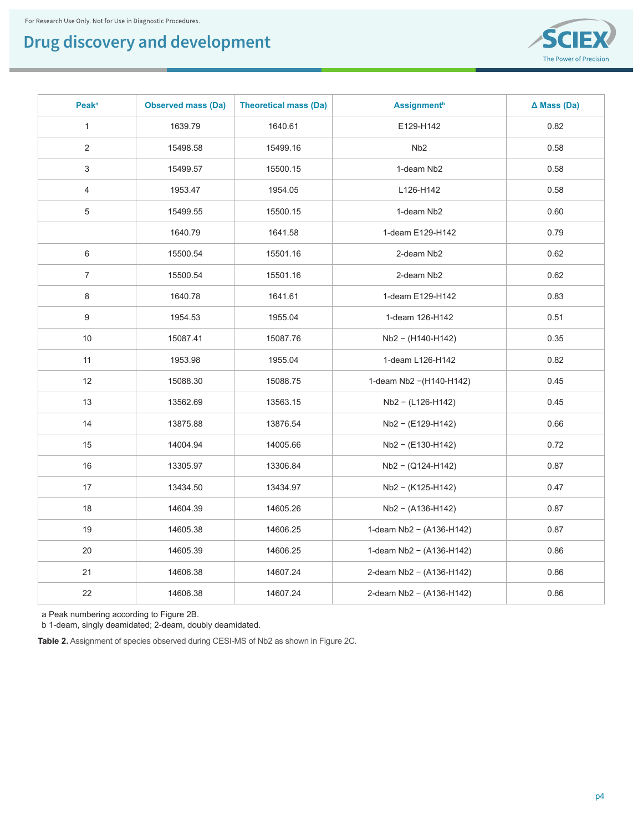

| <b>Peak</b> <sup>a</sup> | <b>Observed mass (Da)</b> | <b>Theoretical mass (Da)</b> | <b>Assignment</b> <sup>b</sup> | $\Delta$ Mass (Da) |
|--------------------------|---------------------------|------------------------------|--------------------------------|--------------------|
| $\mathbf{1}$             | 1639.79                   | 1640.61                      | E129-H142                      | 0.82               |
| $\overline{2}$           | 15498.58                  | 15499.16                     | N <sub>b</sub> 2               | 0.58               |
| 3                        | 15499.57                  | 15500.15                     | 1-deam Nb2                     | 0.58               |
| 4                        | 1953.47                   | 1954.05                      | L126-H142                      | 0.58               |
| 5                        | 15499.55                  | 15500.15                     | 1-deam Nb2                     | 0.60               |
|                          | 1640.79                   | 1641.58                      | 1-deam E129-H142               | 0.79               |
| 6                        | 15500.54                  | 15501.16                     | 2-deam Nb2                     | 0.62               |
| $\overline{7}$           | 15500.54                  | 15501.16                     | 2-deam Nb2                     | 0.62               |
| 8                        | 1640.78                   | 1641.61                      | 1-deam E129-H142               | 0.83               |
| 9                        | 1954.53                   | 1955.04                      | 1-deam 126-H142                | 0.51               |
| 10                       | 15087.41                  | 15087.76                     | Nb2 - (H140-H142)              | 0.35               |
| 11                       | 1953.98                   | 1955.04                      | 1-deam L126-H142               | 0.82               |
| 12                       | 15088.30                  | 15088.75                     | 1-deam Nb2 - (H140-H142)       | 0.45               |
| 13                       | 13562.69                  | 13563.15                     | Nb2 - (L126-H142)              | 0.45               |
| 14                       | 13875.88                  | 13876.54                     | Nb2 - (E129-H142)              | 0.66               |
| 15                       | 14004.94                  | 14005.66                     | $Nb2 - (E130-H142)$            | 0.72               |
| 16                       | 13305.97                  | 13306.84                     | Nb2 - (Q124-H142)              | 0.87               |
| 17                       | 13434.50                  | 13434.97                     | Nb2 - (K125-H142)              | 0.47               |
| 18                       | 14604.39                  | 14605.26                     | Nb2 - (A136-H142)              | 0.87               |
| 19                       | 14605.38                  | 14606.25                     | 1-deam Nb2 - (A136-H142)       | 0.87               |
| 20                       | 14605.39                  | 14606.25                     | 1-deam Nb2 - (A136-H142)       | 0.86               |
| 21                       | 14606.38                  | 14607.24                     | 2-deam Nb2 - (A136-H142)       | 0.86               |
| 22                       | 14606.38                  | 14607.24                     | 2-deam Nb2 - (A136-H142)       | 0.86               |

a Peak numbering according to Figure 2B.

b 1-deam, singly deamidated; 2-deam, doubly deamidated.

**Table 2.** Assignment of species observed during CESI-MS of Nb2 as shown in Figure 2C.